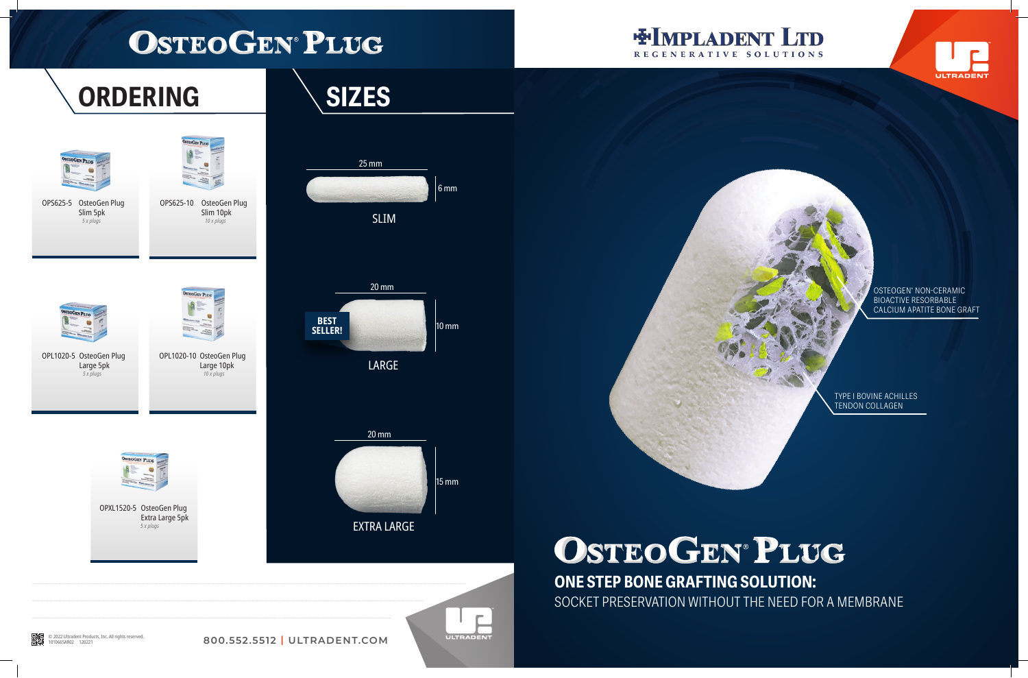

SOCKET PRESERVATION WITHOUT THE NEED FOR A MEMBRANE

### OSTEOGEN® NON-CERAMIC BIOACTIVE RESORBABLE CALCIUM APATITE BONE GRAFT

TYPE I BOVINE ACHILLES TENDON COLLAGEN

1010665AR02 120221

蹨





## OSTEOGEN<sup>PLUG</sup>